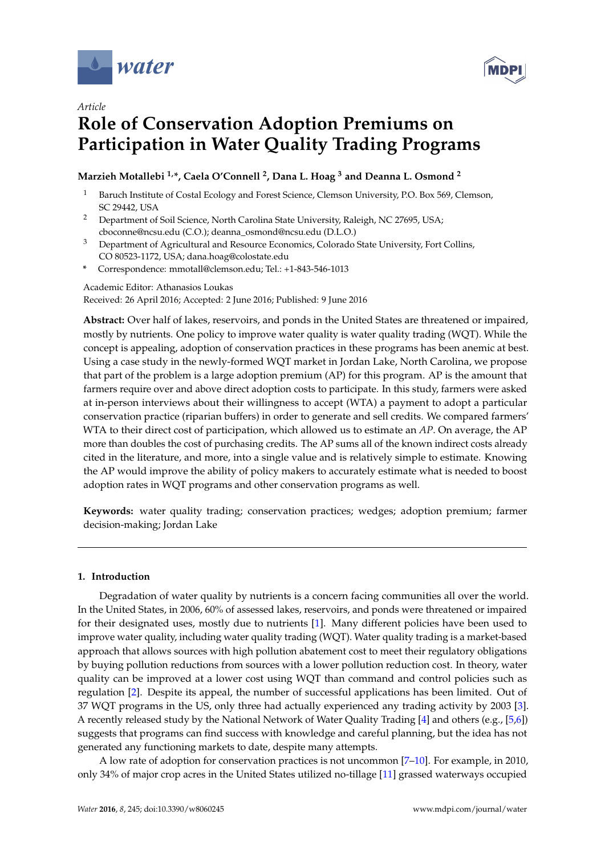



# **Role of Conservation Adoption Premiums on Participation in Water Quality Trading Programs**

# **Marzieh Motallebi 1,\*, Caela O'Connell <sup>2</sup> , Dana L. Hoag <sup>3</sup> and Deanna L. Osmond <sup>2</sup>**

- <sup>1</sup> Baruch Institute of Costal Ecology and Forest Science, Clemson University, P.O. Box 569, Clemson, SC 29442, USA
- <sup>2</sup> Department of Soil Science, North Carolina State University, Raleigh, NC 27695, USA; cboconne@ncsu.edu (C.O.); deanna\_osmond@ncsu.edu (D.L.O.)
- <sup>3</sup> Department of Agricultural and Resource Economics, Colorado State University, Fort Collins, CO 80523-1172, USA; dana.hoag@colostate.edu
- **\*** Correspondence: mmotall@clemson.edu; Tel.: +1-843-546-1013

Academic Editor: Athanasios Loukas Received: 26 April 2016; Accepted: 2 June 2016; Published: 9 June 2016

**Abstract:** Over half of lakes, reservoirs, and ponds in the United States are threatened or impaired, mostly by nutrients. One policy to improve water quality is water quality trading (WQT). While the concept is appealing, adoption of conservation practices in these programs has been anemic at best. Using a case study in the newly-formed WQT market in Jordan Lake, North Carolina, we propose that part of the problem is a large adoption premium (AP) for this program. AP is the amount that farmers require over and above direct adoption costs to participate. In this study, farmers were asked at in-person interviews about their willingness to accept (WTA) a payment to adopt a particular conservation practice (riparian buffers) in order to generate and sell credits. We compared farmers' WTA to their direct cost of participation, which allowed us to estimate an *AP*. On average, the AP more than doubles the cost of purchasing credits. The AP sums all of the known indirect costs already cited in the literature, and more, into a single value and is relatively simple to estimate. Knowing the AP would improve the ability of policy makers to accurately estimate what is needed to boost adoption rates in WQT programs and other conservation programs as well.

**Keywords:** water quality trading; conservation practices; wedges; adoption premium; farmer decision-making; Jordan Lake

# **1. Introduction**

Degradation of water quality by nutrients is a concern facing communities all over the world. In the United States, in 2006, 60% of assessed lakes, reservoirs, and ponds were threatened or impaired for their designated uses, mostly due to nutrients [\[1\]](#page-10-0). Many different policies have been used to improve water quality, including water quality trading (WQT). Water quality trading is a market-based approach that allows sources with high pollution abatement cost to meet their regulatory obligations by buying pollution reductions from sources with a lower pollution reduction cost. In theory, water quality can be improved at a lower cost using WQT than command and control policies such as regulation [\[2\]](#page-10-1). Despite its appeal, the number of successful applications has been limited. Out of 37 WQT programs in the US, only three had actually experienced any trading activity by 2003 [\[3\]](#page-10-2). A recently released study by the National Network of Water Quality Trading [\[4\]](#page-10-3) and others (e.g., [\[5,](#page-10-4)[6\]](#page-10-5)) suggests that programs can find success with knowledge and careful planning, but the idea has not generated any functioning markets to date, despite many attempts.

A low rate of adoption for conservation practices is not uncommon [\[7](#page-10-6)[–10\]](#page-10-7). For example, in 2010, only 34% of major crop acres in the United States utilized no-tillage [\[11\]](#page-10-8) grassed waterways occupied

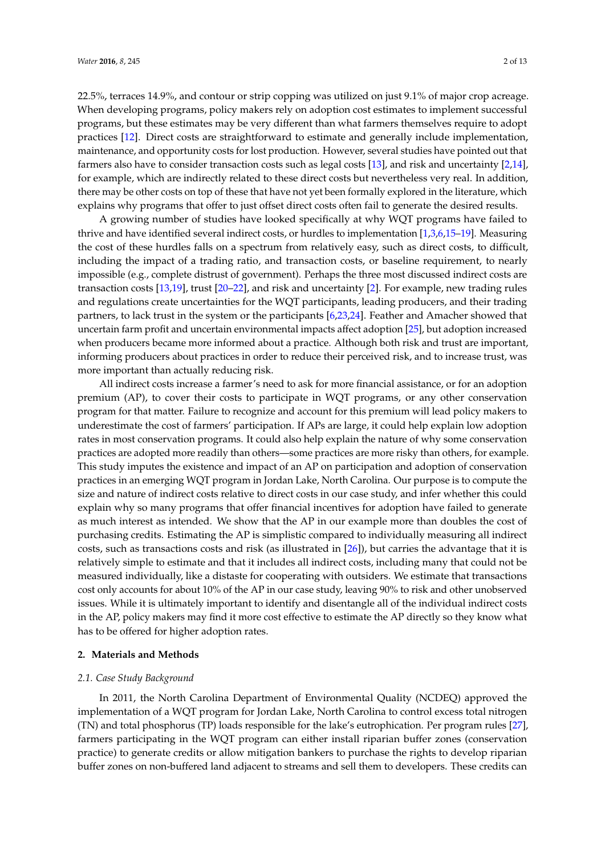22.5%, terraces 14.9%, and contour or strip copping was utilized on just 9.1% of major crop acreage. When developing programs, policy makers rely on adoption cost estimates to implement successful programs, but these estimates may be very different than what farmers themselves require to adopt practices [\[12\]](#page-10-9). Direct costs are straightforward to estimate and generally include implementation, maintenance, and opportunity costs for lost production. However, several studies have pointed out that farmers also have to consider transaction costs such as legal costs [\[13\]](#page-10-10), and risk and uncertainty [\[2](#page-10-1)[,14\]](#page-10-11), for example, which are indirectly related to these direct costs but nevertheless very real. In addition, there may be other costs on top of these that have not yet been formally explored in the literature, which explains why programs that offer to just offset direct costs often fail to generate the desired results.

A growing number of studies have looked specifically at why WQT programs have failed to thrive and have identified several indirect costs, or hurdles to implementation [\[1](#page-10-0)[,3,](#page-10-2)[6,](#page-10-5)[15](#page-10-12)[–19\]](#page-11-0). Measuring the cost of these hurdles falls on a spectrum from relatively easy, such as direct costs, to difficult, including the impact of a trading ratio, and transaction costs, or baseline requirement, to nearly impossible (e.g., complete distrust of government). Perhaps the three most discussed indirect costs are transaction costs [\[13](#page-10-10)[,19\]](#page-11-0), trust [\[20–](#page-11-1)[22\]](#page-11-2), and risk and uncertainty [\[2\]](#page-10-1). For example, new trading rules and regulations create uncertainties for the WQT participants, leading producers, and their trading partners, to lack trust in the system or the participants [\[6,](#page-10-5)[23,](#page-11-3)[24\]](#page-11-4). Feather and Amacher showed that uncertain farm profit and uncertain environmental impacts affect adoption [\[25\]](#page-11-5), but adoption increased when producers became more informed about a practice. Although both risk and trust are important, informing producers about practices in order to reduce their perceived risk, and to increase trust, was more important than actually reducing risk.

All indirect costs increase a farmer's need to ask for more financial assistance, or for an adoption premium (AP), to cover their costs to participate in WQT programs, or any other conservation program for that matter. Failure to recognize and account for this premium will lead policy makers to underestimate the cost of farmers' participation. If APs are large, it could help explain low adoption rates in most conservation programs. It could also help explain the nature of why some conservation practices are adopted more readily than others—some practices are more risky than others, for example. This study imputes the existence and impact of an AP on participation and adoption of conservation practices in an emerging WQT program in Jordan Lake, North Carolina. Our purpose is to compute the size and nature of indirect costs relative to direct costs in our case study, and infer whether this could explain why so many programs that offer financial incentives for adoption have failed to generate as much interest as intended. We show that the AP in our example more than doubles the cost of purchasing credits. Estimating the AP is simplistic compared to individually measuring all indirect costs, such as transactions costs and risk (as illustrated in [\[26\]](#page-11-6)), but carries the advantage that it is relatively simple to estimate and that it includes all indirect costs, including many that could not be measured individually, like a distaste for cooperating with outsiders. We estimate that transactions cost only accounts for about 10% of the AP in our case study, leaving 90% to risk and other unobserved issues. While it is ultimately important to identify and disentangle all of the individual indirect costs in the AP, policy makers may find it more cost effective to estimate the AP directly so they know what has to be offered for higher adoption rates.

#### **2. Materials and Methods**

#### *2.1. Case Study Background*

In 2011, the North Carolina Department of Environmental Quality (NCDEQ) approved the implementation of a WQT program for Jordan Lake, North Carolina to control excess total nitrogen (TN) and total phosphorus (TP) loads responsible for the lake's eutrophication. Per program rules [\[27\]](#page-11-7), farmers participating in the WQT program can either install riparian buffer zones (conservation practice) to generate credits or allow mitigation bankers to purchase the rights to develop riparian buffer zones on non-buffered land adjacent to streams and sell them to developers. These credits can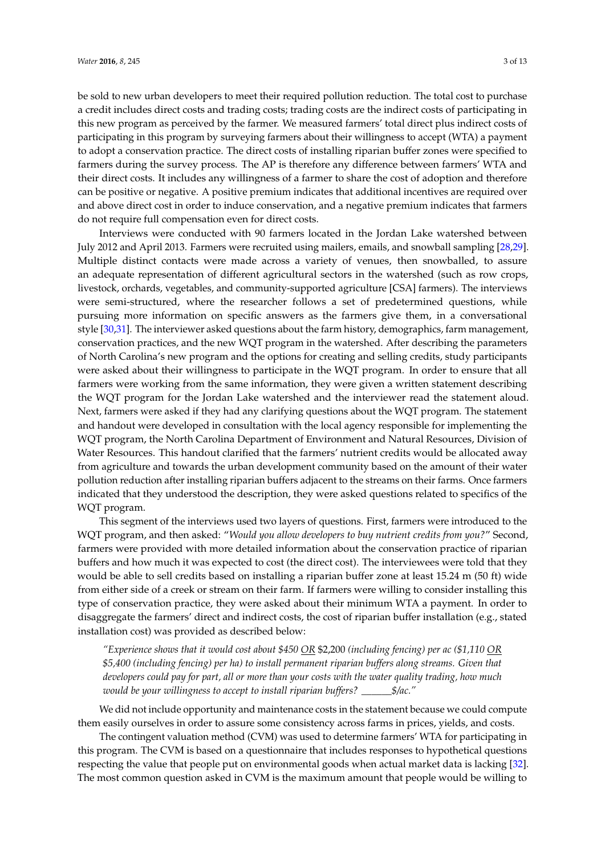be sold to new urban developers to meet their required pollution reduction. The total cost to purchase a credit includes direct costs and trading costs; trading costs are the indirect costs of participating in this new program as perceived by the farmer. We measured farmers' total direct plus indirect costs of participating in this program by surveying farmers about their willingness to accept (WTA) a payment to adopt a conservation practice. The direct costs of installing riparian buffer zones were specified to farmers during the survey process. The AP is therefore any difference between farmers' WTA and their direct costs. It includes any willingness of a farmer to share the cost of adoption and therefore can be positive or negative. A positive premium indicates that additional incentives are required over and above direct cost in order to induce conservation, and a negative premium indicates that farmers do not require full compensation even for direct costs.

Interviews were conducted with 90 farmers located in the Jordan Lake watershed between July 2012 and April 2013. Farmers were recruited using mailers, emails, and snowball sampling [\[28](#page-11-8)[,29\]](#page-11-9). Multiple distinct contacts were made across a variety of venues, then snowballed, to assure an adequate representation of different agricultural sectors in the watershed (such as row crops, livestock, orchards, vegetables, and community-supported agriculture [CSA] farmers). The interviews were semi-structured, where the researcher follows a set of predetermined questions, while pursuing more information on specific answers as the farmers give them, in a conversational style [\[30](#page-11-10)[,31\]](#page-11-11). The interviewer asked questions about the farm history, demographics, farm management, conservation practices, and the new WQT program in the watershed. After describing the parameters of North Carolina's new program and the options for creating and selling credits, study participants were asked about their willingness to participate in the WQT program. In order to ensure that all farmers were working from the same information, they were given a written statement describing the WQT program for the Jordan Lake watershed and the interviewer read the statement aloud. Next, farmers were asked if they had any clarifying questions about the WQT program. The statement and handout were developed in consultation with the local agency responsible for implementing the WQT program, the North Carolina Department of Environment and Natural Resources, Division of Water Resources. This handout clarified that the farmers' nutrient credits would be allocated away from agriculture and towards the urban development community based on the amount of their water pollution reduction after installing riparian buffers adjacent to the streams on their farms. Once farmers indicated that they understood the description, they were asked questions related to specifics of the WQT program.

This segment of the interviews used two layers of questions. First, farmers were introduced to the WQT program, and then asked: "*Would you allow developers to buy nutrient credits from you?*" Second, farmers were provided with more detailed information about the conservation practice of riparian buffers and how much it was expected to cost (the direct cost). The interviewees were told that they would be able to sell credits based on installing a riparian buffer zone at least 15.24 m (50 ft) wide from either side of a creek or stream on their farm. If farmers were willing to consider installing this type of conservation practice, they were asked about their minimum WTA a payment. In order to disaggregate the farmers' direct and indirect costs, the cost of riparian buffer installation (e.g., stated installation cost) was provided as described below:

*"Experience shows that it would cost about \$450 OR* \$2,200 *(including fencing) per ac (\$1,110 OR \$5,400 (including fencing) per ha) to install permanent riparian buffers along streams. Given that developers could pay for part, all or more than your costs with the water quality trading, how much would be your willingness to accept to install riparian buffers? \_\_\_\_\_\_\$/ac."*

We did not include opportunity and maintenance costs in the statement because we could compute them easily ourselves in order to assure some consistency across farms in prices, yields, and costs.

The contingent valuation method (CVM) was used to determine farmers' WTA for participating in this program. The CVM is based on a questionnaire that includes responses to hypothetical questions respecting the value that people put on environmental goods when actual market data is lacking [\[32\]](#page-11-12). The most common question asked in CVM is the maximum amount that people would be willing to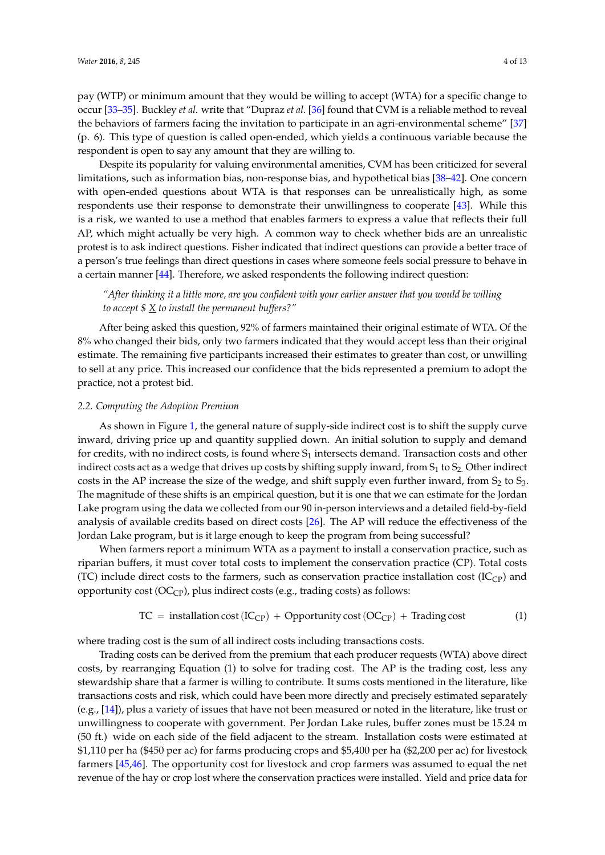pay (WTP) or minimum amount that they would be willing to accept (WTA) for a specific change to occur [\[33–](#page-11-13)[35\]](#page-11-14). Buckley *et al.* write that "Dupraz *et al.* [\[36\]](#page-11-15) found that CVM is a reliable method to reveal the behaviors of farmers facing the invitation to participate in an agri-environmental scheme" [\[37\]](#page-11-16) (p. 6). This type of question is called open-ended, which yields a continuous variable because the respondent is open to say any amount that they are willing to.

Despite its popularity for valuing environmental amenities, CVM has been criticized for several limitations, such as information bias, non-response bias, and hypothetical bias [\[38–](#page-11-17)[42\]](#page-12-0). One concern with open-ended questions about WTA is that responses can be unrealistically high, as some respondents use their response to demonstrate their unwillingness to cooperate [\[43\]](#page-12-1). While this is a risk, we wanted to use a method that enables farmers to express a value that reflects their full AP, which might actually be very high. A common way to check whether bids are an unrealistic protest is to ask indirect questions. Fisher indicated that indirect questions can provide a better trace of a person's true feelings than direct questions in cases where someone feels social pressure to behave in a certain manner [\[44\]](#page-12-2). Therefore, we asked respondents the following indirect question:

*"After thinking it a little more, are you confident with your earlier answer that you would be willing to accept \$ X to install the permanent buffers?"*

After being asked this question, 92% of farmers maintained their original estimate of WTA. Of the 8% who changed their bids, only two farmers indicated that they would accept less than their original estimate. The remaining five participants increased their estimates to greater than cost, or unwilling to sell at any price. This increased our confidence that the bids represented a premium to adopt the practice, not a protest bid.

#### *2.2. Computing the Adoption Premium*

As shown in Figure [1,](#page-4-0) the general nature of supply-side indirect cost is to shift the supply curve inward, driving price up and quantity supplied down. An initial solution to supply and demand for credits, with no indirect costs, is found where  $S_1$  intersects demand. Transaction costs and other indirect costs act as a wedge that drives up costs by shifting supply inward, from  $S_1$  to  $S_2$ . Other indirect costs in the AP increase the size of the wedge, and shift supply even further inward, from  $S_2$  to  $S_3$ . The magnitude of these shifts is an empirical question, but it is one that we can estimate for the Jordan Lake program using the data we collected from our 90 in-person interviews and a detailed field-by-field analysis of available credits based on direct costs [\[26\]](#page-11-6). The AP will reduce the effectiveness of the Jordan Lake program, but is it large enough to keep the program from being successful?

When farmers report a minimum WTA as a payment to install a conservation practice, such as riparian buffers, it must cover total costs to implement the conservation practice (CP). Total costs (TC) include direct costs to the farmers, such as conservation practice installation cost ( $IC_{CP}$ ) and opportunity cost  $(OC_{CP})$ , plus indirect costs (e.g., trading costs) as follows:

$$
TC = installation cost (IC_{CP}) + Opportunity cost (OC_{CP}) + Trading cost
$$
 (1)

where trading cost is the sum of all indirect costs including transactions costs.

Trading costs can be derived from the premium that each producer requests (WTA) above direct costs, by rearranging Equation (1) to solve for trading cost. The AP is the trading cost, less any stewardship share that a farmer is willing to contribute. It sums costs mentioned in the literature, like transactions costs and risk, which could have been more directly and precisely estimated separately (e.g.,  $[14]$ ), plus a variety of issues that have not been measured or noted in the literature, like trust or unwillingness to cooperate with government. Per Jordan Lake rules, buffer zones must be 15.24 m (50 ft.) wide on each side of the field adjacent to the stream. Installation costs were estimated at \$1,110 per ha (\$450 per ac) for farms producing crops and \$5,400 per ha (\$2,200 per ac) for livestock farmers [\[45](#page-12-3)[,46\]](#page-12-4). The opportunity cost for livestock and crop farmers was assumed to equal the net revenue of the hay or crop lost where the conservation practices were installed. Yield and price data for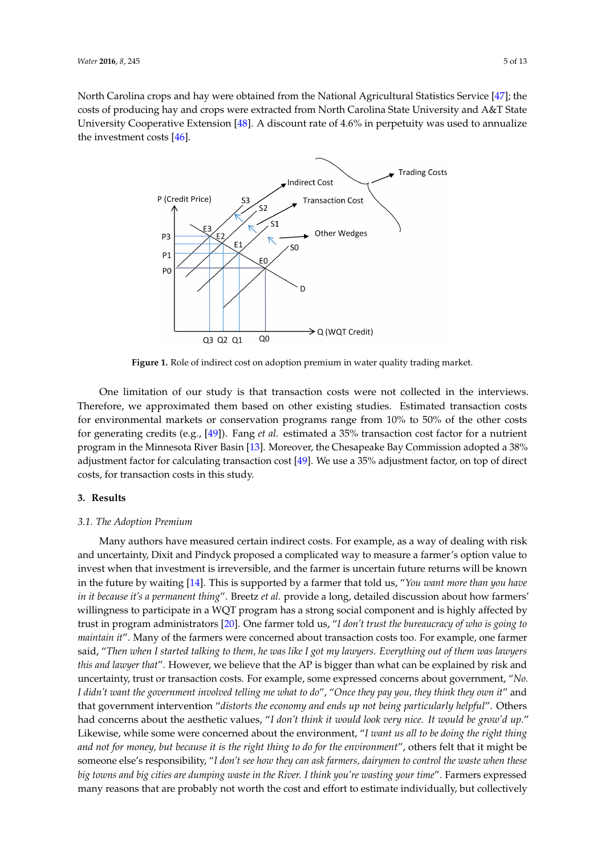<span id="page-4-0"></span>North Carolina crops and hay were obtained from the National Agricultural Statistics Service [\[47\]](#page-12-5); the costs of producing hay and crops were extracted from North Carolina State University and A&T State University Cooperative Extension [\[48\]](#page-12-6). A discount rate of 4.6% in perpetuity was used to annualize the investment costs [\[46\]](#page-12-4). *Water* **2016**, *8*, 245 5 of 13



**Figure 1.** Role of indirect cost on adoption premium in water quality trading market. **Figure 1.** Role of indirect cost on adoption premium in water quality trading market.

 $T_{\text{in}}$  Therefore, we approximate the studies of  $\epsilon$  and  $\epsilon$  is for  $\epsilon$  the studies. Estimated transaction costs for  $\epsilon$  and  $\epsilon$  for  $\epsilon$  is for  $\epsilon$ One limitation of our study is that transaction costs were not collected in the interviews. Therefore, we approximated them based on other existing studies. Estimated transaction costs for environmental markets or conservation programs range from 10% to 50% of the other costs for generating credits (e.g., [\[49\]](#page-12-7)). Fang *et al.* estimated a 35% transaction cost factor for a nutrient program in the Minnesota River Basin [\[13\]](#page-10-10). Moreover, the Chesapeake Bay Commission adopted a 38% **3. Results**  adjustment factor for calculating transaction cost [\[49\]](#page-12-7). We use a 35% adjustment factor, on top of direct costs, for transaction costs in this study.

# **3. Results**

#### to invest when that investment is irreversible, and the farmer is uncertain future returns will be *3.1. The Adoption Premium*

Many authors have measured certain indirect costs. For example*,* as a way of dealing with risk and uncertainty, Dixit and Pindyck proposed a complicated way to measure a farmer's option value to invest when that investment is irreversible, and the farmer is uncertain future returns will be known *who is going to maintain it*"*.* Many of the farmers were concerned about transaction costs too. For in the future by waiting [\[14\]](#page-10-11). This is supported by a farmer that told us*, "You want more than you have* in it because it's a permanent thing". Breetz et al. provide a long, detailed discussion about how farmers' willingness to participate in a WQT program has a strong social component and is highly affected by trust in program administrators [\[20\]](#page-11-1). One farmer told us, "I don't trust the bureaucracy of who is going to *they pay you, they think they own it*" and that government intervention "*distorts the economy and ends up*  maintain it". Many of the farmers were concerned about transaction costs too. For example, one farmer said, "Then when I started talking to them, he was like I got my lawyers. Everything out of them was lawyers this and lawyer that". However, we believe that the AP is bigger than what can be explained by risk and uncertainty, trust or transaction costs. For example, some expressed concerns about government, "No. *farmers, dairymen to control the waste when these big towns and big cities are dumping waste in the River. I*  I didn't want the government involved telling me what to do", "Once they pay you, they think they own it" and that government intervention "distorts the economy and ends up not being particularly helpful". Others had concerns about the aesthetic values, "*I don't think it would look very nice. It would be grow'd up."* Likewise, while some were concerned about the environment, "*I want us all to be doing the right thing and not for money, but because it is the right thing to do for the environment*", others felt that it might be someone else's responsibility, "*I don't see how they can ask farmers, dairymen to control the waste when these big towns and big cities are dumping waste in the River. I think you're wasting your time*". Farmers expressed many reasons that are probably not worth the cost and effort to estimate individually, but collectively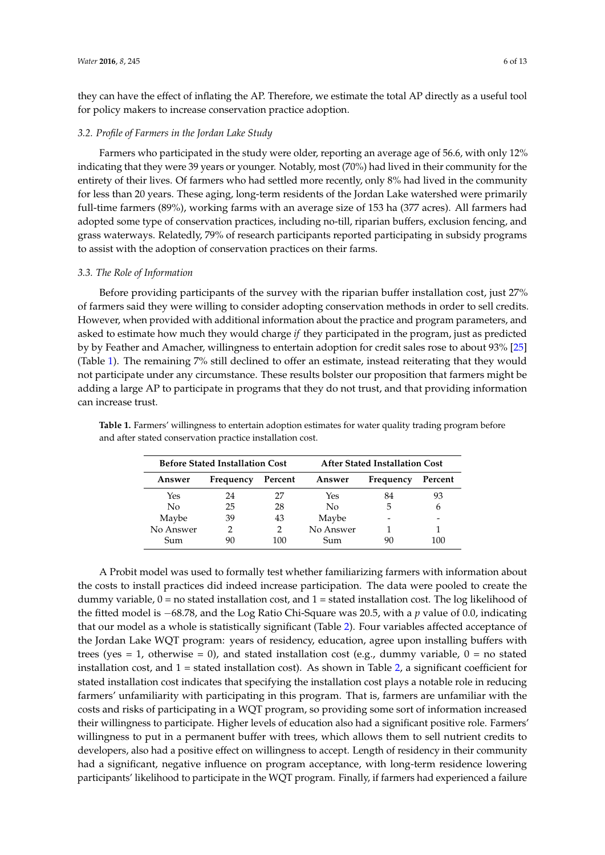they can have the effect of inflating the AP. Therefore, we estimate the total AP directly as a useful tool for policy makers to increase conservation practice adoption.

#### *3.2. Profile of Farmers in the Jordan Lake Study*

Farmers who participated in the study were older, reporting an average age of 56.6, with only 12% indicating that they were 39 years or younger. Notably, most (70%) had lived in their community for the entirety of their lives. Of farmers who had settled more recently, only 8% had lived in the community for less than 20 years. These aging, long-term residents of the Jordan Lake watershed were primarily full-time farmers (89%), working farms with an average size of 153 ha (377 acres). All farmers had adopted some type of conservation practices, including no-till, riparian buffers, exclusion fencing, and grass waterways. Relatedly, 79% of research participants reported participating in subsidy programs to assist with the adoption of conservation practices on their farms.

#### *3.3. The Role of Information*

Before providing participants of the survey with the riparian buffer installation cost, just 27% of farmers said they were willing to consider adopting conservation methods in order to sell credits. However, when provided with additional information about the practice and program parameters, and asked to estimate how much they would charge *if* they participated in the program, just as predicted by by Feather and Amacher, willingness to entertain adoption for credit sales rose to about 93% [\[25\]](#page-11-5) (Table [1\)](#page-5-0). The remaining 7% still declined to offer an estimate, instead reiterating that they would not participate under any circumstance. These results bolster our proposition that farmers might be adding a large AP to participate in programs that they do not trust, and that providing information can increase trust.

| <b>Before Stated Installation Cost</b> |           |         | <b>After Stated Installation Cost</b> |           |         |
|----------------------------------------|-----------|---------|---------------------------------------|-----------|---------|
| Answer                                 | Frequency | Percent | Answer                                | Frequency | Percent |
| Yes                                    | 24        | 27      | Yes                                   | 84        | 93      |
| No                                     | 25        | 28      | No                                    | 5         | 6       |
| Maybe                                  | 39        | 43      | Maybe                                 |           |         |
| No Answer                              |           | 2       | No Answer                             |           |         |
| Sum                                    | 90        | 100     | <b>Sum</b>                            | 90        | 100     |

<span id="page-5-0"></span>**Table 1.** Farmers' willingness to entertain adoption estimates for water quality trading program before and after stated conservation practice installation cost.

A Probit model was used to formally test whether familiarizing farmers with information about the costs to install practices did indeed increase participation. The data were pooled to create the dummy variable,  $0 =$  no stated installation cost, and  $1 =$  stated installation cost. The log likelihood of the fitted model is  $-68.78$ , and the Log Ratio Chi-Square was 20.5, with a  $p$  value of 0.0, indicating that our model as a whole is statistically significant (Table [2\)](#page-6-0). Four variables affected acceptance of the Jordan Lake WQT program: years of residency, education, agree upon installing buffers with trees (yes = 1, otherwise = 0), and stated installation cost (e.g., dummy variable,  $0 =$  no stated installation cost, and  $1 =$  stated installation cost). As shown in Table [2,](#page-6-0) a significant coefficient for stated installation cost indicates that specifying the installation cost plays a notable role in reducing farmers' unfamiliarity with participating in this program. That is, farmers are unfamiliar with the costs and risks of participating in a WQT program, so providing some sort of information increased their willingness to participate. Higher levels of education also had a significant positive role. Farmers' willingness to put in a permanent buffer with trees, which allows them to sell nutrient credits to developers, also had a positive effect on willingness to accept. Length of residency in their community had a significant, negative influence on program acceptance, with long-term residence lowering participants' likelihood to participate in the WQT program. Finally, if farmers had experienced a failure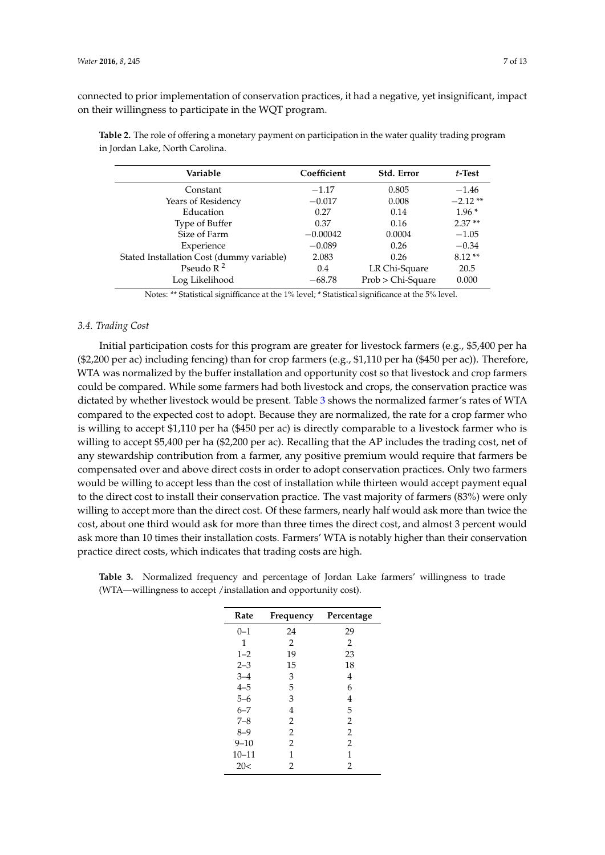connected to prior implementation of conservation practices, it had a negative, yet insignificant, impact on their willingness to participate in the WQT program.

| Variable                                  | Coefficient | Std. Error        | $t$ -Test |
|-------------------------------------------|-------------|-------------------|-----------|
| Constant                                  | $-1.17$     | 0.805             | $-1.46$   |
| Years of Residency                        | $-0.017$    | 0.008             | $-2.12**$ |
| Education                                 | 0.27        | 0.14              | $1.96*$   |
| Type of Buffer                            | 0.37        | 0.16              | $2.37**$  |
| Size of Farm                              | $-0.00042$  | 0.0004            | $-1.05$   |
| Experience                                | $-0.089$    | 0.26              | $-0.34$   |
| Stated Installation Cost (dummy variable) | 2.083       | 0.26              | $8.12**$  |
| Pseudo $R^2$                              | 0.4         | LR Chi-Square     | 20.5      |
| Log Likelihood                            | $-68.78$    | Prob > Chi-Square | 0.000     |

<span id="page-6-0"></span>**Table 2.** The role of offering a monetary payment on participation in the water quality trading program in Jordan Lake, North Carolina.

Notes: \*\* Statistical signifficance at the 1% level; \* Statistical significance at the 5% level.

# *3.4. Trading Cost*

Initial participation costs for this program are greater for livestock farmers (e.g., \$5,400 per ha (\$2,200 per ac) including fencing) than for crop farmers (e.g., \$1,110 per ha (\$450 per ac)). Therefore, WTA was normalized by the buffer installation and opportunity cost so that livestock and crop farmers could be compared. While some farmers had both livestock and crops, the conservation practice was dictated by whether livestock would be present. Table [3](#page-6-1) shows the normalized farmer's rates of WTA compared to the expected cost to adopt. Because they are normalized, the rate for a crop farmer who is willing to accept \$1,110 per ha (\$450 per ac) is directly comparable to a livestock farmer who is willing to accept \$5,400 per ha (\$2,200 per ac). Recalling that the AP includes the trading cost, net of any stewardship contribution from a farmer, any positive premium would require that farmers be compensated over and above direct costs in order to adopt conservation practices. Only two farmers would be willing to accept less than the cost of installation while thirteen would accept payment equal to the direct cost to install their conservation practice. The vast majority of farmers (83%) were only willing to accept more than the direct cost. Of these farmers, nearly half would ask more than twice the cost, about one third would ask for more than three times the direct cost, and almost 3 percent would ask more than 10 times their installation costs. Farmers' WTA is notably higher than their conservation practice direct costs, which indicates that trading costs are high.

| Rate      | Frequency      | Percentage     |  |
|-----------|----------------|----------------|--|
| $0 - 1$   | 24             | 29             |  |
| 1         | $\overline{2}$ | $\overline{2}$ |  |
| $1 - 2$   | 19             | 23             |  |
| $2 - 3$   | 15             | 18             |  |
| $3 - 4$   | 3              | 4              |  |
| $4 - 5$   | 5              | 6              |  |
| $5 - 6$   | 3              | 4              |  |
| $6 - 7$   | 4              | 5              |  |
| $7 - 8$   | $\overline{2}$ | $\overline{2}$ |  |
| $8 - 9$   | $\overline{2}$ | $\overline{2}$ |  |
| $9 - 10$  | $\overline{2}$ | $\overline{2}$ |  |
| $10 - 11$ | 1              | 1              |  |
| 20<       | 2              | 2              |  |

<span id="page-6-1"></span>**Table 3.** Normalized frequency and percentage of Jordan Lake farmers' willingness to trade (WTA—willingness to accept /installation and opportunity cost).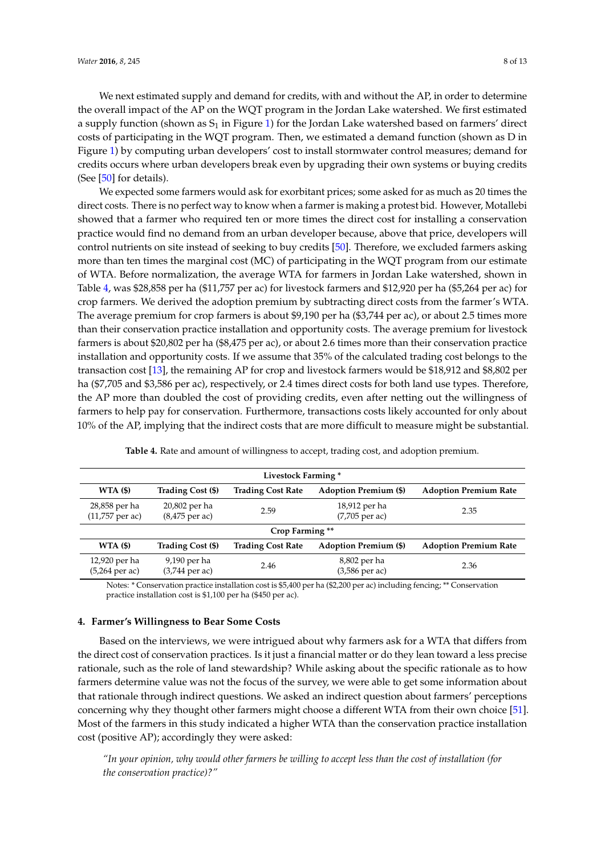We next estimated supply and demand for credits, with and without the AP, in order to determine the overall impact of the AP on the WQT program in the Jordan Lake watershed. We first estimated a supply function (shown as  $S_1$  in Figure [1\)](#page-4-0) for the Jordan Lake watershed based on farmers' direct costs of participating in the WQT program. Then, we estimated a demand function (shown as D in Figure [1\)](#page-4-0) by computing urban developers' cost to install stormwater control measures; demand for credits occurs where urban developers break even by upgrading their own systems or buying credits (See [\[50\]](#page-12-8) for details).

We expected some farmers would ask for exorbitant prices; some asked for as much as 20 times the direct costs. There is no perfect way to know when a farmer is making a protest bid. However, Motallebi showed that a farmer who required ten or more times the direct cost for installing a conservation practice would find no demand from an urban developer because, above that price, developers will control nutrients on site instead of seeking to buy credits [\[50\]](#page-12-8). Therefore, we excluded farmers asking more than ten times the marginal cost (MC) of participating in the WQT program from our estimate of WTA. Before normalization, the average WTA for farmers in Jordan Lake watershed, shown in Table [4,](#page-7-0) was \$28,858 per ha (\$11,757 per ac) for livestock farmers and \$12,920 per ha (\$5,264 per ac) for crop farmers. We derived the adoption premium by subtracting direct costs from the farmer's WTA. The average premium for crop farmers is about \$9,190 per ha (\$3,744 per ac), or about 2.5 times more than their conservation practice installation and opportunity costs. The average premium for livestock farmers is about \$20,802 per ha (\$8,475 per ac), or about 2.6 times more than their conservation practice installation and opportunity costs. If we assume that 35% of the calculated trading cost belongs to the transaction cost [\[13\]](#page-10-10), the remaining AP for crop and livestock farmers would be \$18,912 and \$8,802 per ha (\$7,705 and \$3,586 per ac), respectively, or 2.4 times direct costs for both land use types. Therefore, the AP more than doubled the cost of providing credits, even after netting out the willingness of farmers to help pay for conservation. Furthermore, transactions costs likely accounted for only about 10% of the AP, implying that the indirect costs that are more difficult to measure might be substantial.

<span id="page-7-0"></span>

| Livestock Farming *                |                                   |                          |                                   |                              |  |  |
|------------------------------------|-----------------------------------|--------------------------|-----------------------------------|------------------------------|--|--|
| WTA(\$)                            | Trading Cost (\$)                 | <b>Trading Cost Rate</b> | <b>Adoption Premium (\$)</b>      | <b>Adoption Premium Rate</b> |  |  |
| 28,858 per ha<br>$(11,757$ per ac) | 20,802 per ha<br>$(8,475$ per ac) | 2.59                     | 18,912 per ha<br>$(7,705$ per ac) | 2.35                         |  |  |
| Crop Farming **                    |                                   |                          |                                   |                              |  |  |
| WTA(\$)                            | Trading Cost (\$)                 | <b>Trading Cost Rate</b> | <b>Adoption Premium (\$)</b>      | <b>Adoption Premium Rate</b> |  |  |
| 12,920 per ha<br>$(5,264)$ per ac) | 9,190 per ha<br>$(3,744$ per ac)  | 2.46                     | 8,802 per ha<br>(3,586 per ac)    | 2.36                         |  |  |

**Table 4.** Rate and amount of willingness to accept, trading cost, and adoption premium.

Notes: \* Conservation practice installation cost is \$5,400 per ha (\$2,200 per ac) including fencing; \*\* Conservation practice installation cost is \$1,100 per ha (\$450 per ac).

# **4. Farmer's Willingness to Bear Some Costs**

Based on the interviews, we were intrigued about why farmers ask for a WTA that differs from the direct cost of conservation practices. Is it just a financial matter or do they lean toward a less precise rationale, such as the role of land stewardship? While asking about the specific rationale as to how farmers determine value was not the focus of the survey, we were able to get some information about that rationale through indirect questions. We asked an indirect question about farmers' perceptions concerning why they thought other farmers might choose a different WTA from their own choice [\[51\]](#page-12-9). Most of the farmers in this study indicated a higher WTA than the conservation practice installation cost (positive AP); accordingly they were asked:

*"In your opinion, why would other farmers be willing to accept less than the cost of installation (for the conservation practice)?"*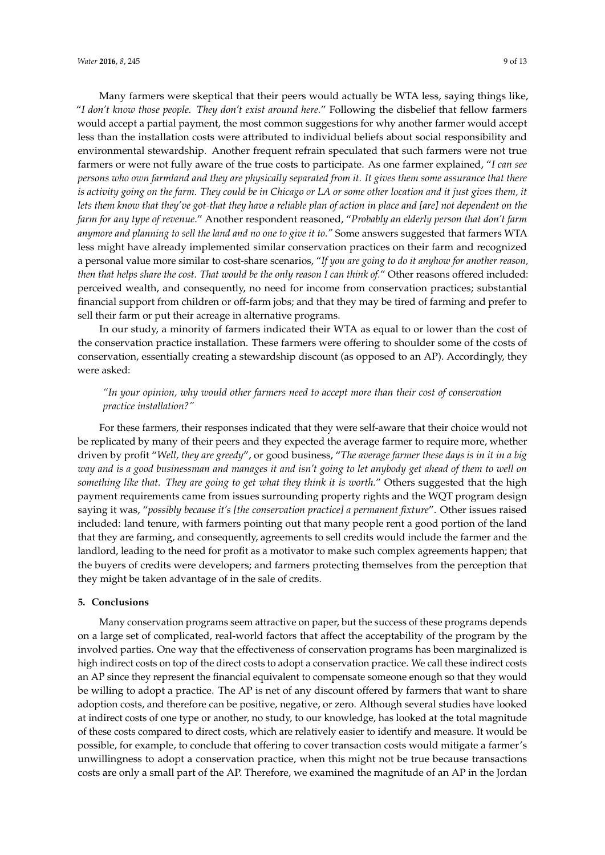Many farmers were skeptical that their peers would actually be WTA less, saying things like, "*I don't know those people. They don't exist around here.*" Following the disbelief that fellow farmers would accept a partial payment, the most common suggestions for why another farmer would accept less than the installation costs were attributed to individual beliefs about social responsibility and environmental stewardship. Another frequent refrain speculated that such farmers were not true farmers or were not fully aware of the true costs to participate. As one farmer explained, "*I can see persons who own farmland and they are physically separated from it. It gives them some assurance that there is activity going on the farm. They could be in Chicago or LA or some other location and it just gives them, it lets them know that they've got-that they have a reliable plan of action in place and [are] not dependent on the farm for any type of revenue*." Another respondent reasoned, "*Probably an elderly person that don't farm anymore and planning to sell the land and no one to give it to."* Some answers suggested that farmers WTA less might have already implemented similar conservation practices on their farm and recognized a personal value more similar to cost-share scenarios, "*If you are going to do it anyhow for another reason, then that helps share the cost. That would be the only reason I can think of.*" Other reasons offered included: perceived wealth, and consequently, no need for income from conservation practices; substantial financial support from children or off-farm jobs; and that they may be tired of farming and prefer to sell their farm or put their acreage in alternative programs.

In our study, a minority of farmers indicated their WTA as equal to or lower than the cost of the conservation practice installation. These farmers were offering to shoulder some of the costs of conservation, essentially creating a stewardship discount (as opposed to an AP). Accordingly, they were asked:

# *"In your opinion, why would other farmers need to accept more than their cost of conservation practice installation?"*

For these farmers, their responses indicated that they were self-aware that their choice would not be replicated by many of their peers and they expected the average farmer to require more, whether driven by profit "*Well, they are greedy*", or good business, "*The average farmer these days is in it in a big way and is a good businessman and manages it and isn't going to let anybody get ahead of them to well on something like that. They are going to get what they think it is worth.*" Others suggested that the high payment requirements came from issues surrounding property rights and the WQT program design saying it was, "*possibly because it's [the conservation practice] a permanent fixture*". Other issues raised included: land tenure, with farmers pointing out that many people rent a good portion of the land that they are farming, and consequently, agreements to sell credits would include the farmer and the landlord, leading to the need for profit as a motivator to make such complex agreements happen; that the buyers of credits were developers; and farmers protecting themselves from the perception that they might be taken advantage of in the sale of credits.

# **5. Conclusions**

Many conservation programs seem attractive on paper, but the success of these programs depends on a large set of complicated, real-world factors that affect the acceptability of the program by the involved parties. One way that the effectiveness of conservation programs has been marginalized is high indirect costs on top of the direct costs to adopt a conservation practice. We call these indirect costs an AP since they represent the financial equivalent to compensate someone enough so that they would be willing to adopt a practice. The AP is net of any discount offered by farmers that want to share adoption costs, and therefore can be positive, negative, or zero. Although several studies have looked at indirect costs of one type or another, no study, to our knowledge, has looked at the total magnitude of these costs compared to direct costs, which are relatively easier to identify and measure. It would be possible, for example, to conclude that offering to cover transaction costs would mitigate a farmer's unwillingness to adopt a conservation practice, when this might not be true because transactions costs are only a small part of the AP. Therefore, we examined the magnitude of an AP in the Jordan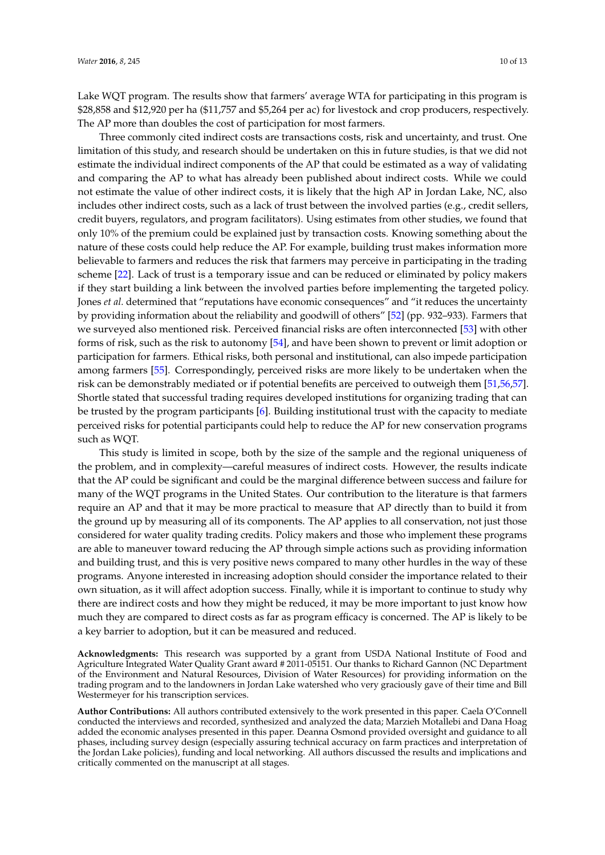Lake WQT program. The results show that farmers' average WTA for participating in this program is \$28,858 and \$12,920 per ha (\$11,757 and \$5,264 per ac) for livestock and crop producers, respectively. The AP more than doubles the cost of participation for most farmers.

Three commonly cited indirect costs are transactions costs, risk and uncertainty, and trust. One limitation of this study, and research should be undertaken on this in future studies, is that we did not estimate the individual indirect components of the AP that could be estimated as a way of validating and comparing the AP to what has already been published about indirect costs. While we could not estimate the value of other indirect costs, it is likely that the high AP in Jordan Lake, NC, also includes other indirect costs, such as a lack of trust between the involved parties (e.g., credit sellers, credit buyers, regulators, and program facilitators). Using estimates from other studies, we found that only 10% of the premium could be explained just by transaction costs. Knowing something about the nature of these costs could help reduce the AP. For example, building trust makes information more believable to farmers and reduces the risk that farmers may perceive in participating in the trading scheme [\[22\]](#page-11-2). Lack of trust is a temporary issue and can be reduced or eliminated by policy makers if they start building a link between the involved parties before implementing the targeted policy. Jones *et al.* determined that "reputations have economic consequences" and "it reduces the uncertainty by providing information about the reliability and goodwill of others" [\[52\]](#page-12-10) (pp. 932–933). Farmers that we surveyed also mentioned risk. Perceived financial risks are often interconnected [\[53\]](#page-12-11) with other forms of risk, such as the risk to autonomy [\[54\]](#page-12-12), and have been shown to prevent or limit adoption or participation for farmers. Ethical risks, both personal and institutional, can also impede participation among farmers [\[55\]](#page-12-13). Correspondingly, perceived risks are more likely to be undertaken when the risk can be demonstrably mediated or if potential benefits are perceived to outweigh them [\[51,](#page-12-9)[56,](#page-12-14)[57\]](#page-12-15). Shortle stated that successful trading requires developed institutions for organizing trading that can be trusted by the program participants [\[6\]](#page-10-5). Building institutional trust with the capacity to mediate perceived risks for potential participants could help to reduce the AP for new conservation programs such as WQT.

This study is limited in scope, both by the size of the sample and the regional uniqueness of the problem, and in complexity—careful measures of indirect costs. However, the results indicate that the AP could be significant and could be the marginal difference between success and failure for many of the WQT programs in the United States. Our contribution to the literature is that farmers require an AP and that it may be more practical to measure that AP directly than to build it from the ground up by measuring all of its components. The AP applies to all conservation, not just those considered for water quality trading credits. Policy makers and those who implement these programs are able to maneuver toward reducing the AP through simple actions such as providing information and building trust, and this is very positive news compared to many other hurdles in the way of these programs. Anyone interested in increasing adoption should consider the importance related to their own situation, as it will affect adoption success. Finally, while it is important to continue to study why there are indirect costs and how they might be reduced, it may be more important to just know how much they are compared to direct costs as far as program efficacy is concerned. The AP is likely to be a key barrier to adoption, but it can be measured and reduced.

**Acknowledgments:** This research was supported by a grant from USDA National Institute of Food and Agriculture Integrated Water Quality Grant award # 2011-05151. Our thanks to Richard Gannon (NC Department of the Environment and Natural Resources, Division of Water Resources) for providing information on the trading program and to the landowners in Jordan Lake watershed who very graciously gave of their time and Bill Westermeyer for his transcription services.

**Author Contributions:** All authors contributed extensively to the work presented in this paper. Caela O'Connell conducted the interviews and recorded, synthesized and analyzed the data; Marzieh Motallebi and Dana Hoag added the economic analyses presented in this paper. Deanna Osmond provided oversight and guidance to all phases, including survey design (especially assuring technical accuracy on farm practices and interpretation of the Jordan Lake policies), funding and local networking. All authors discussed the results and implications and critically commented on the manuscript at all stages.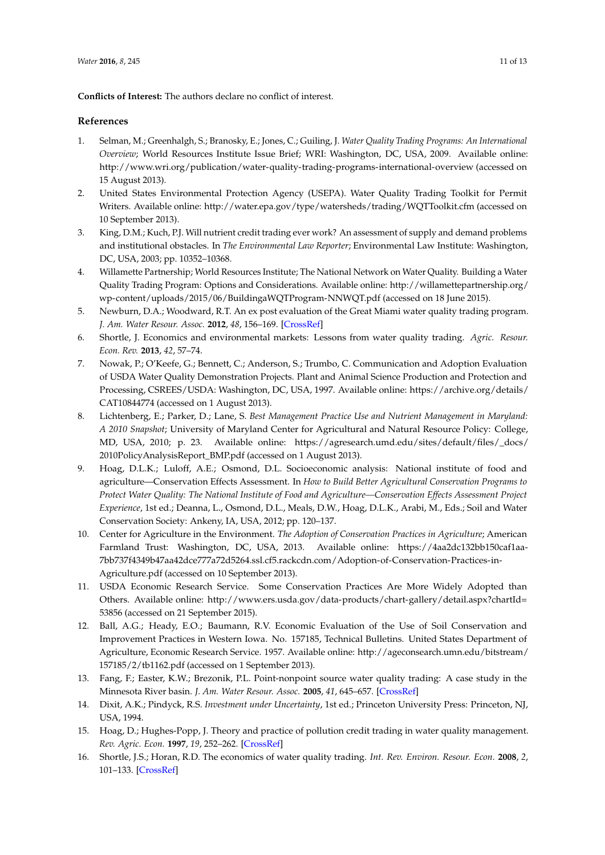**Conflicts of Interest:** The authors declare no conflict of interest.

# **References**

- <span id="page-10-0"></span>1. Selman, M.; Greenhalgh, S.; Branosky, E.; Jones, C.; Guiling, J. *Water Quality Trading Programs: An International Overview*; World Resources Institute Issue Brief; WRI: Washington, DC, USA, 2009. Available online: <http://www.wri.org/publication/water-quality-trading-programs-international-overview> (accessed on 15 August 2013).
- <span id="page-10-1"></span>2. United States Environmental Protection Agency (USEPA). Water Quality Trading Toolkit for Permit Writers. Available online: <http://water.epa.gov/type/watersheds/trading/WQTToolkit.cfm> (accessed on 10 September 2013).
- <span id="page-10-2"></span>3. King, D.M.; Kuch, P.J. Will nutrient credit trading ever work? An assessment of supply and demand problems and institutional obstacles. In *The Environmental Law Reporter*; Environmental Law Institute: Washington, DC, USA, 2003; pp. 10352–10368.
- <span id="page-10-3"></span>4. Willamette Partnership; World Resources Institute; The National Network on Water Quality. Building a Water Quality Trading Program: Options and Considerations. Available online: [http://willamettepartnership.org/](http://willamettepartnership.org/wp-content/uploads/2015/06/BuildingaWQTProgram-NNWQT.pdf) [wp-content/uploads/2015/06/BuildingaWQTProgram-NNWQT.pdf](http://willamettepartnership.org/wp-content/uploads/2015/06/BuildingaWQTProgram-NNWQT.pdf) (accessed on 18 June 2015).
- <span id="page-10-4"></span>5. Newburn, D.A.; Woodward, R.T. An ex post evaluation of the Great Miami water quality trading program. *J. Am. Water Resour. Assoc.* **2012**, *48*, 156–169. [\[CrossRef\]](http://dx.doi.org/10.1111/j.1752-1688.2011.00601.x)
- <span id="page-10-5"></span>6. Shortle, J. Economics and environmental markets: Lessons from water quality trading. *Agric. Resour. Econ. Rev.* **2013**, *42*, 57–74.
- <span id="page-10-6"></span>7. Nowak, P.; O'Keefe, G.; Bennett, C.; Anderson, S.; Trumbo, C. Communication and Adoption Evaluation of USDA Water Quality Demonstration Projects. Plant and Animal Science Production and Protection and Processing, CSREES/USDA: Washington, DC, USA, 1997. Available online: [https://archive.org/details/](https://archive.org/details/CAT10844774) [CAT10844774](https://archive.org/details/CAT10844774) (accessed on 1 August 2013).
- 8. Lichtenberg, E.; Parker, D.; Lane, S. *Best Management Practice Use and Nutrient Management in Maryland: A 2010 Snapshot*; University of Maryland Center for Agricultural and Natural Resource Policy: College, MD, USA, 2010; p. 23. Available online: [https://agresearch.umd.edu/sites/default/files/\\_docs/](https://agresearch.umd.edu/sites/default/files/_docs/2010PolicyAnalysisReport_BMP.pdf) [2010PolicyAnalysisReport\\_BMP.pdf](https://agresearch.umd.edu/sites/default/files/_docs/2010PolicyAnalysisReport_BMP.pdf) (accessed on 1 August 2013).
- 9. Hoag, D.L.K.; Luloff, A.E.; Osmond, D.L. Socioeconomic analysis: National institute of food and agriculture—Conservation Effects Assessment. In *How to Build Better Agricultural Conservation Programs to Protect Water Quality: The National Institute of Food and Agriculture—Conservation Effects Assessment Project Experience*, 1st ed.; Deanna, L., Osmond, D.L., Meals, D.W., Hoag, D.L.K., Arabi, M., Eds.; Soil and Water Conservation Society: Ankeny, IA, USA, 2012; pp. 120–137.
- <span id="page-10-7"></span>10. Center for Agriculture in the Environment. *The Adoption of Conservation Practices in Agriculture*; American Farmland Trust: Washington, DC, USA, 2013. Available online: [https://4aa2dc132bb150caf1aa-](https://4aa2dc132bb150caf1aa-7bb737f4349b47aa42dce777a72d5264.ssl.cf5.rackcdn.com/Adoption-of-Conservation-Practices-in-Agriculture.pdf)[7bb737f4349b47aa42dce777a72d5264.ssl.cf5.rackcdn.com/Adoption-of-Conservation-Practices-in-](https://4aa2dc132bb150caf1aa-7bb737f4349b47aa42dce777a72d5264.ssl.cf5.rackcdn.com/Adoption-of-Conservation-Practices-in-Agriculture.pdf)[Agriculture.pdf](https://4aa2dc132bb150caf1aa-7bb737f4349b47aa42dce777a72d5264.ssl.cf5.rackcdn.com/Adoption-of-Conservation-Practices-in-Agriculture.pdf) (accessed on 10 September 2013).
- <span id="page-10-8"></span>11. USDA Economic Research Service. Some Conservation Practices Are More Widely Adopted than Others. Available online: [http://www.ers.usda.gov/data-products/chart-gallery/detail.aspx?chartId=](http://www.ers.usda.gov/data-products/chart-gallery/detail.aspx?chartId=53856) [53856](http://www.ers.usda.gov/data-products/chart-gallery/detail.aspx?chartId=53856) (accessed on 21 September 2015).
- <span id="page-10-9"></span>12. Ball, A.G.; Heady, E.O.; Baumann, R.V. Economic Evaluation of the Use of Soil Conservation and Improvement Practices in Western Iowa. No. 157185, Technical Bulletins. United States Department of Agriculture, Economic Research Service. 1957. Available online: [http://ageconsearch.umn.edu/bitstream/](http://ageconsearch.umn.edu/bitstream/157185/2/tb1162.pdf) [157185/2/tb1162.pdf](http://ageconsearch.umn.edu/bitstream/157185/2/tb1162.pdf) (accessed on 1 September 2013).
- <span id="page-10-10"></span>13. Fang, F.; Easter, K.W.; Brezonik, P.L. Point-nonpoint source water quality trading: A case study in the Minnesota River basin. *J. Am. Water Resour. Assoc.* **2005**, *41*, 645–657. [\[CrossRef\]](http://dx.doi.org/10.1111/j.1752-1688.2005.tb03761.x)
- <span id="page-10-11"></span>14. Dixit, A.K.; Pindyck, R.S. *Investment under Uncertainty*, 1st ed.; Princeton University Press: Princeton, NJ, USA, 1994.
- <span id="page-10-12"></span>15. Hoag, D.; Hughes-Popp, J. Theory and practice of pollution credit trading in water quality management. *Rev. Agric. Econ.* **1997**, *19*, 252–262. [\[CrossRef\]](http://dx.doi.org/10.2307/1349740)
- 16. Shortle, J.S.; Horan, R.D. The economics of water quality trading. *Int. Rev. Environ. Resour. Econ.* **2008**, *2*, 101–133. [\[CrossRef\]](http://dx.doi.org/10.1561/101.00000014)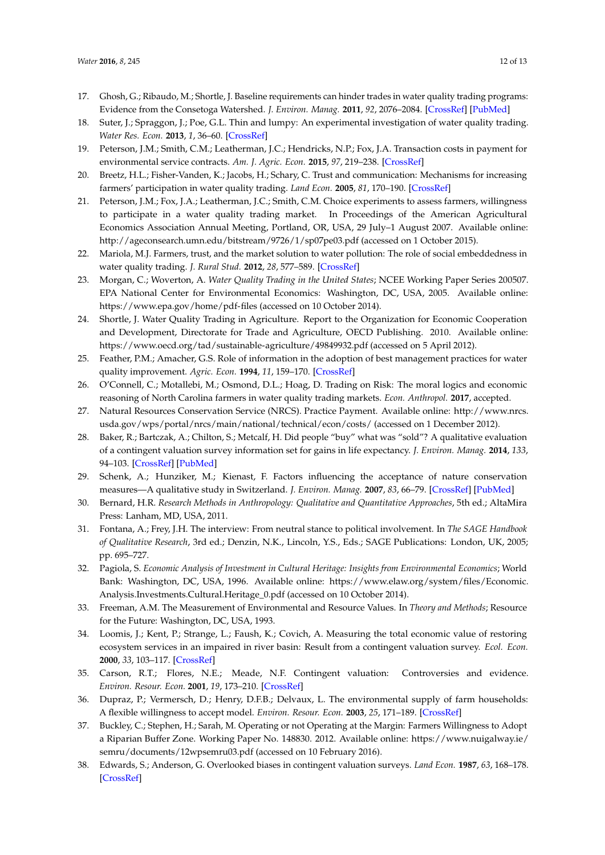- 17. Ghosh, G.; Ribaudo, M.; Shortle, J. Baseline requirements can hinder trades in water quality trading programs: Evidence from the Consetoga Watershed. *J. Environ. Manag.* **2011**, *92*, 2076–2084. [\[CrossRef\]](http://dx.doi.org/10.1016/j.jenvman.2011.03.029) [\[PubMed\]](http://www.ncbi.nlm.nih.gov/pubmed/21507559)
- 18. Suter, J.; Spraggon, J.; Poe, G.L. Thin and lumpy: An experimental investigation of water quality trading. *Water Res. Econ.* **2013**, *1*, 36–60. [\[CrossRef\]](http://dx.doi.org/10.1016/j.wre.2013.03.004)
- <span id="page-11-0"></span>19. Peterson, J.M.; Smith, C.M.; Leatherman, J.C.; Hendricks, N.P.; Fox, J.A. Transaction costs in payment for environmental service contracts. *Am. J. Agric. Econ.* **2015**, *97*, 219–238. [\[CrossRef\]](http://dx.doi.org/10.1093/ajae/aau071)
- <span id="page-11-1"></span>20. Breetz, H.L.; Fisher-Vanden, K.; Jacobs, H.; Schary, C. Trust and communication: Mechanisms for increasing farmers' participation in water quality trading. *Land Econ.* **2005**, *81*, 170–190. [\[CrossRef\]](http://dx.doi.org/10.3368/le.81.2.170)
- 21. Peterson, J.M.; Fox, J.A.; Leatherman, J.C.; Smith, C.M. Choice experiments to assess farmers, willingness to participate in a water quality trading market. In Proceedings of the American Agricultural Economics Association Annual Meeting, Portland, OR, USA, 29 July–1 August 2007. Available online: <http://ageconsearch.umn.edu/bitstream/9726/1/sp07pe03.pdf> (accessed on 1 October 2015).
- <span id="page-11-2"></span>22. Mariola, M.J. Farmers, trust, and the market solution to water pollution: The role of social embeddedness in water quality trading. *J. Rural Stud.* **2012**, *28*, 577–589. [\[CrossRef\]](http://dx.doi.org/10.1016/j.jrurstud.2012.09.007)
- <span id="page-11-3"></span>23. Morgan, C.; Woverton, A. *Water Quality Trading in the United States*; NCEE Working Paper Series 200507. EPA National Center for Environmental Economics: Washington, DC, USA, 2005. Available online: <https://www.epa.gov/home/pdf-files> (accessed on 10 October 2014).
- <span id="page-11-4"></span>24. Shortle, J. Water Quality Trading in Agriculture. Report to the Organization for Economic Cooperation and Development, Directorate for Trade and Agriculture, OECD Publishing. 2010. Available online: <https://www.oecd.org/tad/sustainable-agriculture/49849932.pdf> (accessed on 5 April 2012).
- <span id="page-11-5"></span>25. Feather, P.M.; Amacher, G.S. Role of information in the adoption of best management practices for water quality improvement. *Agric. Econ.* **1994**, *11*, 159–170. [\[CrossRef\]](http://dx.doi.org/10.1016/0169-5150(94)00013-1)
- <span id="page-11-6"></span>26. O'Connell, C.; Motallebi, M.; Osmond, D.L.; Hoag, D. Trading on Risk: The moral logics and economic reasoning of North Carolina farmers in water quality trading markets. *Econ. Anthropol.* **2017**, accepted.
- <span id="page-11-7"></span>27. Natural Resources Conservation Service (NRCS). Practice Payment. Available online: [http://www.nrcs.](http://www.nrcs.usda.gov/wps/portal/nrcs/main/national/technical/econ/costs/) [usda.gov/wps/portal/nrcs/main/national/technical/econ/costs/](http://www.nrcs.usda.gov/wps/portal/nrcs/main/national/technical/econ/costs/) (accessed on 1 December 2012).
- <span id="page-11-8"></span>28. Baker, R.; Bartczak, A.; Chilton, S.; Metcalf, H. Did people "buy" what was "sold"? A qualitative evaluation of a contingent valuation survey information set for gains in life expectancy. *J. Environ. Manag.* **2014**, *133*, 94–103. [\[CrossRef\]](http://dx.doi.org/10.1016/j.jenvman.2013.11.043) [\[PubMed\]](http://www.ncbi.nlm.nih.gov/pubmed/24374166)
- <span id="page-11-9"></span>29. Schenk, A.; Hunziker, M.; Kienast, F. Factors influencing the acceptance of nature conservation measures—A qualitative study in Switzerland. *J. Environ. Manag.* **2007**, *83*, 66–79. [\[CrossRef\]](http://dx.doi.org/10.1016/j.jenvman.2006.01.010) [\[PubMed\]](http://www.ncbi.nlm.nih.gov/pubmed/16621231)
- <span id="page-11-10"></span>30. Bernard, H.R. *Research Methods in Anthropology: Qualitative and Quantitative Approaches*, 5th ed.; AltaMira Press: Lanham, MD, USA, 2011.
- <span id="page-11-11"></span>31. Fontana, A.; Frey, J.H. The interview: From neutral stance to political involvement. In *The SAGE Handbook of Qualitative Research*, 3rd ed.; Denzin, N.K., Lincoln, Y.S., Eds.; SAGE Publications: London, UK, 2005; pp. 695–727.
- <span id="page-11-12"></span>32. Pagiola, S. *Economic Analysis of Investment in Cultural Heritage: Insights from Environmental Economics*; World Bank: Washington, DC, USA, 1996. Available online: [https://www.elaw.org/system/files/Economic.](https://www.elaw.org/system/files/Economic.Analysis.Investments.Cultural.Heritage_0.pdf) [Analysis.Investments.Cultural.Heritage\\_0.pdf](https://www.elaw.org/system/files/Economic.Analysis.Investments.Cultural.Heritage_0.pdf) (accessed on 10 October 2014).
- <span id="page-11-13"></span>33. Freeman, A.M. The Measurement of Environmental and Resource Values. In *Theory and Methods*; Resource for the Future: Washington, DC, USA, 1993.
- 34. Loomis, J.; Kent, P.; Strange, L.; Faush, K.; Covich, A. Measuring the total economic value of restoring ecosystem services in an impaired in river basin: Result from a contingent valuation survey. *Ecol. Econ.* **2000**, *33*, 103–117. [\[CrossRef\]](http://dx.doi.org/10.1016/S0921-8009(99)00131-7)
- <span id="page-11-14"></span>35. Carson, R.T.; Flores, N.E.; Meade, N.F. Contingent valuation: Controversies and evidence. *Environ. Resour. Econ.* **2001**, *19*, 173–210. [\[CrossRef\]](http://dx.doi.org/10.1023/A:1011128332243)
- <span id="page-11-15"></span>36. Dupraz, P.; Vermersch, D.; Henry, D.F.B.; Delvaux, L. The environmental supply of farm households: A flexible willingness to accept model. *Environ. Resour. Econ.* **2003**, *25*, 171–189. [\[CrossRef\]](http://dx.doi.org/10.1023/A:1023910720219)
- <span id="page-11-16"></span>37. Buckley, C.; Stephen, H.; Sarah, M. Operating or not Operating at the Margin: Farmers Willingness to Adopt a Riparian Buffer Zone. Working Paper No. 148830. 2012. Available online: [https://www.nuigalway.ie/](https://www.nuigalway.ie/semru/documents/12wpsemru03.pdf) [semru/documents/12wpsemru03.pdf](https://www.nuigalway.ie/semru/documents/12wpsemru03.pdf) (accessed on 10 February 2016).
- <span id="page-11-17"></span>38. Edwards, S.; Anderson, G. Overlooked biases in contingent valuation surveys. *Land Econ.* **1987**, *63*, 168–178. [\[CrossRef\]](http://dx.doi.org/10.2307/3146578)